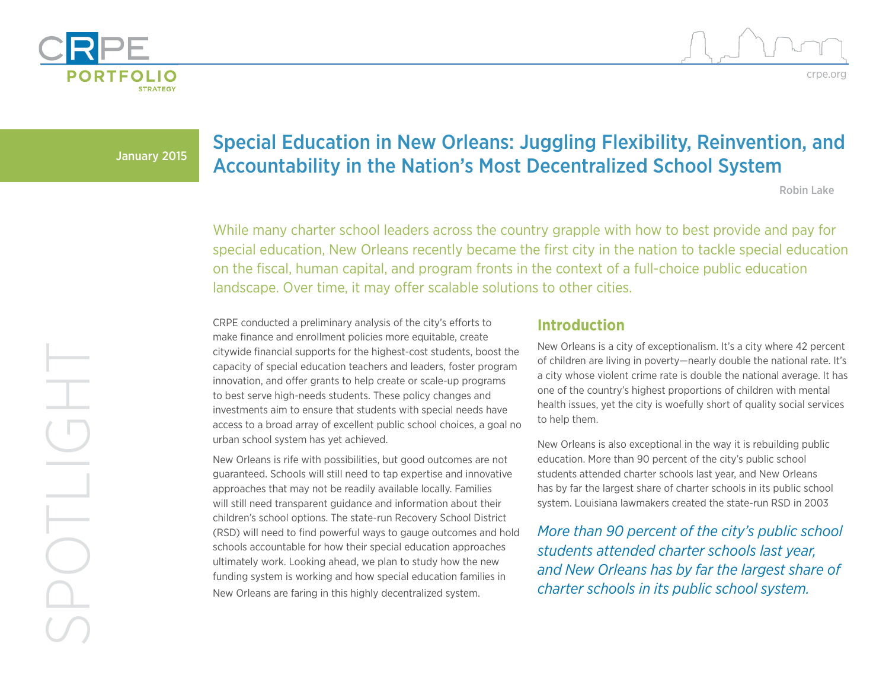



January 2015

# Special Education in New Orleans: Juggling Flexibility, Reinvention, and Accountability in the Nation's Most Decentralized School System

Robin Lake

While many charter school leaders across the country grapple with how to best provide and pay for special education, New Orleans recently became the first city in the nation to tackle special education on the fiscal, human capital, and program fronts in the context of a full-choice public education landscape. Over time, it may offer scalable solutions to other cities.

CRPE conducted a preliminary analysis of the city's efforts to make finance and enrollment policies more equitable, create citywide financial supports for the highest-cost students, boost the capacity of special education teachers and leaders, foster program innovation, and offer grants to help create or scale-up programs to best serve high-needs students. These policy changes and investments aim to ensure that students with special needs have access to a broad array of excellent public school choices, a goal no urban school system has yet achieved.

New Orleans is rife with possibilities, but good outcomes are not guaranteed. Schools will still need to tap expertise and innovative approaches that may not be readily available locally. Families will still need transparent guidance and information about their children's school options. The state-run Recovery School District (RSD) will need to find powerful ways to gauge outcomes and hold schools accountable for how their special education approaches ultimately work. Looking ahead, we plan to study how the new funding system is working and how special education families in New Orleans are faring in this highly decentralized system.

### **Introduction**

New Orleans is a city of exceptionalism. It's a city where 42 percent of children are living in poverty—nearly double the national rate. It's a city whose violent crime rate is double the national average. It has one of the country's highest proportions of children with mental health issues, yet the city is woefully short of quality social services to help them.

New Orleans is also exceptional in the way it is rebuilding public education. More than 90 percent of the city's public school students attended charter schools last year, and New Orleans has by far the largest share of charter schools in its public school system. Louisiana lawmakers created the state-run RSD in 2003

*More than 90 percent of the city's public school students attended charter schools last year, and New Orleans has by far the largest share of charter schools in its public school system.*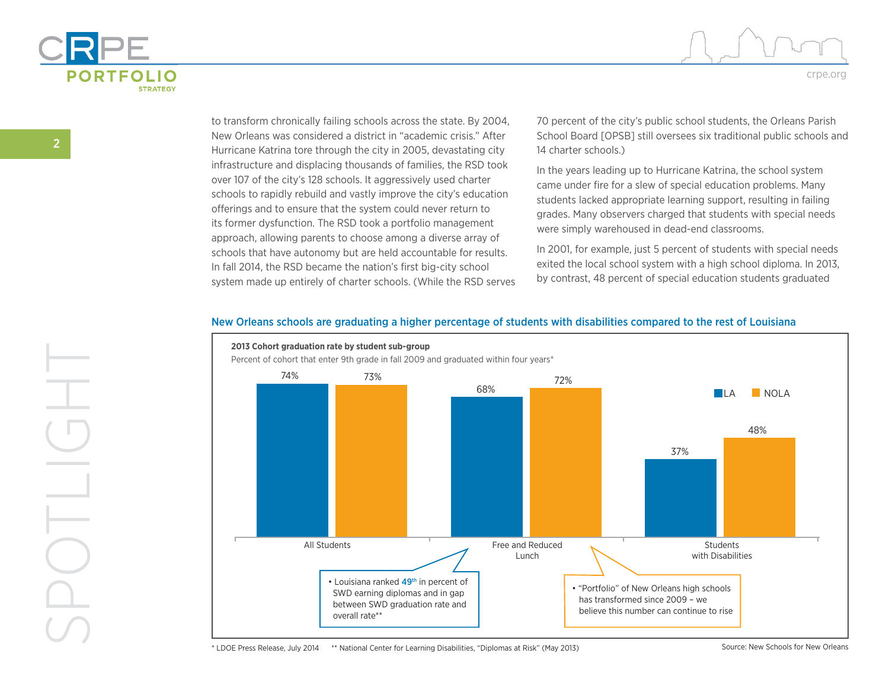



to transform chronically failing schools across the state. By 2004, New Orleans was considered a district in "academic crisis." After Hurricane Katrina tore through the city in 2005, devastating city infrastructure and displacing thousands of families, the RSD took over 107 of the city's 128 schools. It aggressively used charter schools to rapidly rebuild and vastly improve the city's education offerings and to ensure that the system could never return to its former dysfunction. The RSD took a portfolio management approach, allowing parents to choose among a diverse array of schools that have autonomy but are held accountable for results. In fall 2014, the RSD became the nation's first big-city school system made up entirely of charter schools. (While the RSD serves 70 percent of the city's public school students, the Orleans Parish School Board [OPSB] still oversees six traditional public schools and 14 charter schools.)

In the years leading up to Hurricane Katrina, the school system came under fire for a slew of special education problems. Many students lacked appropriate learning support, resulting in failing grades. Many observers charged that students with special needs were simply warehoused in dead-end classrooms.

In 2001, for example, just 5 percent of students with special needs exited the local school system with a high school diploma. In 2013, by contrast, 48 percent of special education students graduated



#### New Orleans schools are graduating a higher percentage of students with disabilities compared to the rest of Louisiana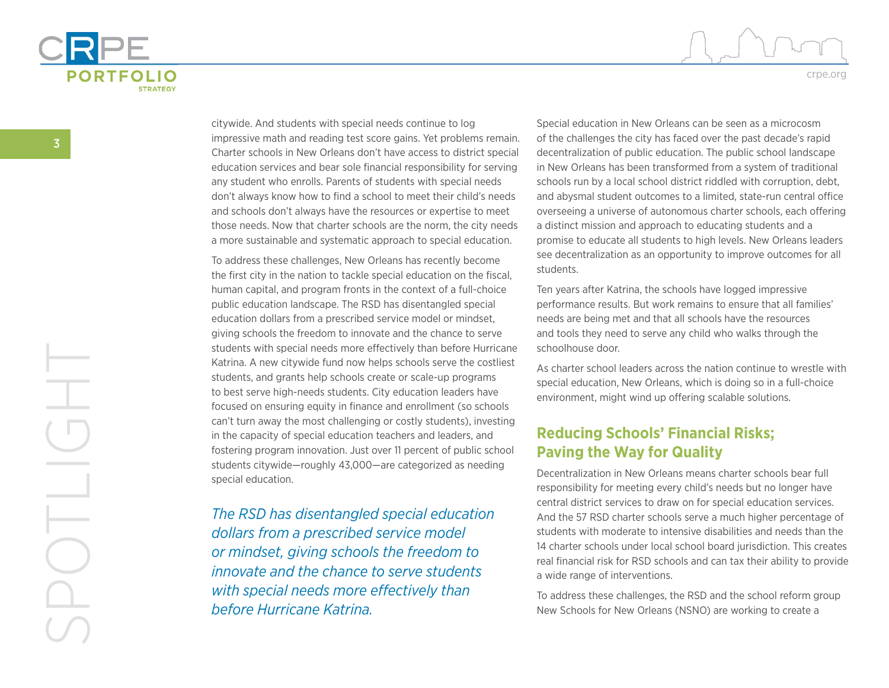

citywide. And students with special needs continue to log impressive math and reading test score gains. Yet problems remain. Charter schools in New Orleans don't have access to district special education services and bear sole financial responsibility for serving any student who enrolls. Parents of students with special needs don't always know how to find a school to meet their child's needs and schools don't always have the resources or expertise to meet those needs. Now that charter schools are the norm, the city needs a more sustainable and systematic approach to special education.

To address these challenges, New Orleans has recently become the first city in the nation to tackle special education on the fiscal, human capital, and program fronts in the context of a full-choice public education landscape. The RSD has disentangled special education dollars from a prescribed service model or mindset, giving schools the freedom to innovate and the chance to serve students with special needs more effectively than before Hurricane Katrina. A new citywide fund now helps schools serve the costliest students, and grants help schools create or scale-up programs to best serve high-needs students. City education leaders have focused on ensuring equity in finance and enrollment (so schools can't turn away the most challenging or costly students), investing in the capacity of special education teachers and leaders, and fostering program innovation. Just over 11 percent of public school students citywide—roughly 43,000—are categorized as needing special education.

*The RSD has disentangled special education dollars from a prescribed service model or mindset, giving schools the freedom to innovate and the chance to serve students with special needs more effectively than before Hurricane Katrina.*

Special education in New Orleans can be seen as a microcosm of the challenges the city has faced over the past decade's rapid decentralization of public education. The public school landscape in New Orleans has been transformed from a system of traditional schools run by a local school district riddled with corruption, debt, and abysmal student outcomes to a limited, state-run central office overseeing a universe of autonomous charter schools, each offering a distinct mission and approach to educating students and a promise to educate all students to high levels. New Orleans leaders see decentralization as an opportunity to improve outcomes for all students.

Ten years after Katrina, the schools have logged impressive performance results. But work remains to ensure that all families' needs are being met and that all schools have the resources and tools they need to serve any child who walks through the schoolhouse door.

As charter school leaders across the nation continue to wrestle with special education, New Orleans, which is doing so in a full-choice environment, might wind up offering scalable solutions.

# **Reducing Schools' Financial Risks; Paving the Way for Quality**

Decentralization in New Orleans means charter schools bear full responsibility for meeting every child's needs but no longer have central district services to draw on for special education services. And the 57 RSD charter schools serve a much higher percentage of students with moderate to intensive disabilities and needs than the 14 charter schools under local school board jurisdiction. This creates real financial risk for RSD schools and can tax their ability to provide a wide range of interventions.

To address these challenges, the RSD and the school reform group New Schools for New Orleans (NSNO) are working to create a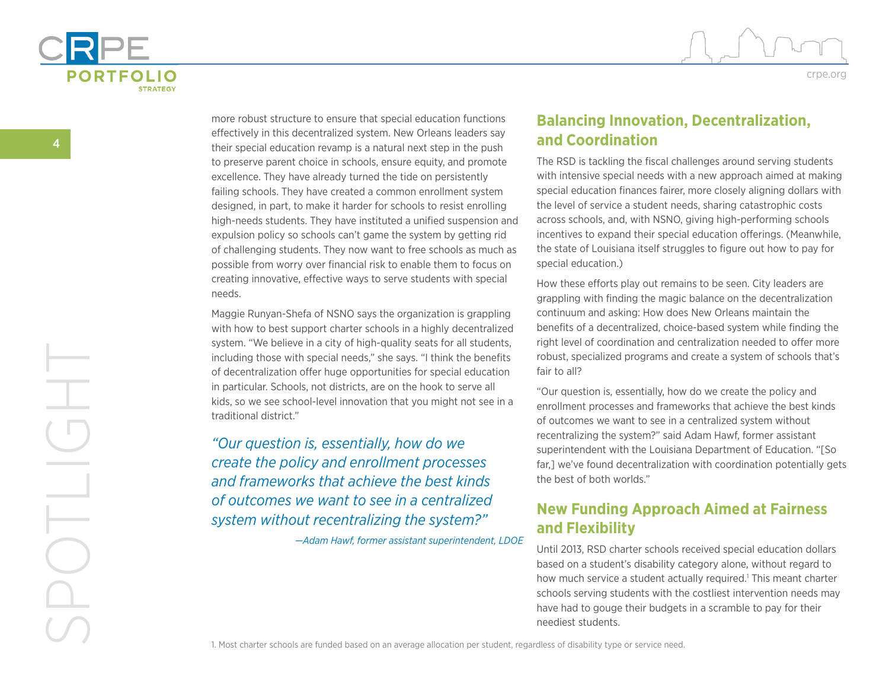



more robust structure to ensure that special education functions effectively in this decentralized system. New Orleans leaders say their special education revamp is a natural next step in the push to preserve parent choice in schools, ensure equity, and promote excellence. They have already turned the tide on persistently failing schools. They have created a common enrollment system designed, in part, to make it harder for schools to resist enrolling high-needs students. They have instituted a unified suspension and expulsion policy so schools can't game the system by getting rid of challenging students. They now want to free schools as much as possible from worry over financial risk to enable them to focus on creating innovative, effective ways to serve students with special needs.

Maggie Runyan-Shefa of NSNO says the organization is grappling with how to best support charter schools in a highly decentralized system. "We believe in a city of high-quality seats for all students, including those with special needs," she says. "I think the benefits of decentralization offer huge opportunities for special education in particular. Schools, not districts, are on the hook to serve all kids, so we see school-level innovation that you might not see in a traditional district."

*"Our question is, essentially, how do we create the policy and enrollment processes and frameworks that achieve the best kinds of outcomes we want to see in a centralized system without recentralizing the system?"*

*—Adam Hawf, former assistant superintendent, LDOE*

## **Balancing Innovation, Decentralization, and Coordination**

The RSD is tackling the fiscal challenges around serving students with intensive special needs with a new approach aimed at making special education finances fairer, more closely aligning dollars with the level of service a student needs, sharing catastrophic costs across schools, and, with NSNO, giving high-performing schools incentives to expand their special education offerings. (Meanwhile, the state of Louisiana itself struggles to figure out how to pay for special education.)

How these efforts play out remains to be seen. City leaders are grappling with finding the magic balance on the decentralization continuum and asking: How does New Orleans maintain the benefits of a decentralized, choice-based system while finding the right level of coordination and centralization needed to offer more robust, specialized programs and create a system of schools that's fair to all?

"Our question is, essentially, how do we create the policy and enrollment processes and frameworks that achieve the best kinds of outcomes we want to see in a centralized system without recentralizing the system?" said Adam Hawf, former assistant superintendent with the Louisiana Department of Education. "[So far,] we've found decentralization with coordination potentially gets the best of both worlds."

# **New Funding Approach Aimed at Fairness and Flexibility**

Until 2013, RSD charter schools received special education dollars based on a student's disability category alone, without regard to how much service a student actually required.<sup>1</sup> This meant charter schools serving students with the costliest intervention needs may have had to gouge their budgets in a scramble to pay for their neediest students.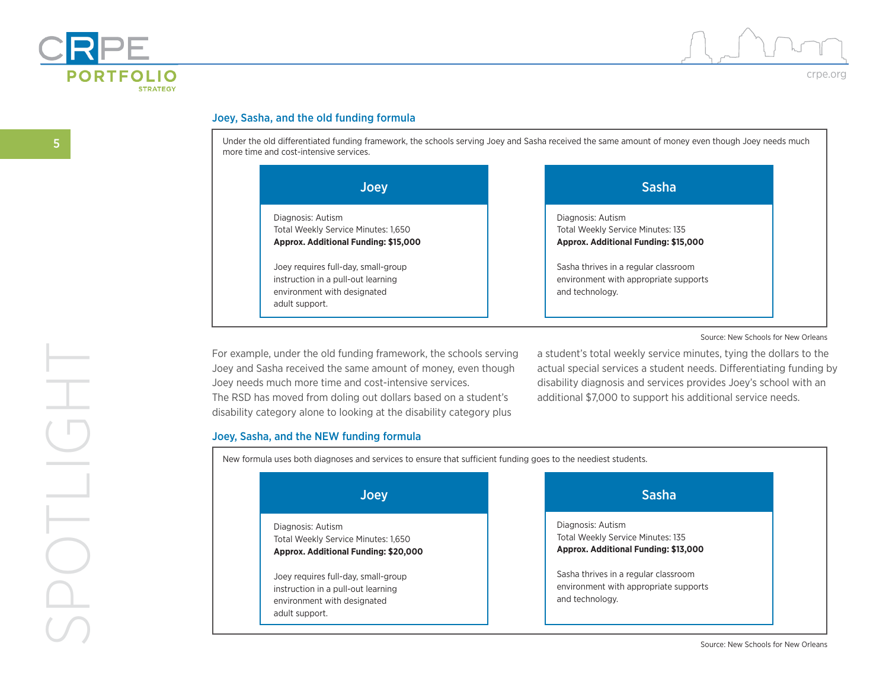



crpe.org

#### Joey, Sasha, and the old funding formula

Under the old differentiated funding framework, the schools serving Joey and Sasha received the same amount of money even though Joey needs much more time and cost-intensive services.

| <b>Joey</b>                                                                                                                | <b>Sasha</b>                                                                                     |
|----------------------------------------------------------------------------------------------------------------------------|--------------------------------------------------------------------------------------------------|
| Diagnosis: Autism<br>Total Weekly Service Minutes: 1,650<br>Approx. Additional Funding: \$15,000                           | Diagnosis: Autism<br>Total Weekly Service Minutes: 135<br>Approx. Additional Funding: \$15,000   |
| Joey requires full-day, small-group<br>instruction in a pull-out learning<br>environment with designated<br>adult support. | Sasha thrives in a regular classroom<br>environment with appropriate supports<br>and technology. |

#### Source: New Schools for New Orleans

For example, under the old funding framework, the schools serving Joey and Sasha received the same amount of money, even though Joey needs much more time and cost-intensive services. The RSD has moved from doling out dollars based on a student's disability category alone to looking at the disability category plus

a student's total weekly service minutes, tying the dollars to the actual special services a student needs. Differentiating funding by disability diagnosis and services provides Joey's school with an additional \$7,000 to support his additional service needs.

#### Joey, Sasha, and the NEW funding formula

New formula uses both diagnoses and services to ensure that sufficient funding goes to the neediest students.

| <b>Joey</b>                                                                                                                | <b>Sasha</b>                                                                                     |
|----------------------------------------------------------------------------------------------------------------------------|--------------------------------------------------------------------------------------------------|
| Diagnosis: Autism<br>Total Weekly Service Minutes: 1,650<br>Approx. Additional Funding: \$20,000                           | Diagnosis: Autism<br>Total Weekly Service Minutes: 135<br>Approx. Additional Funding: \$13,000   |
| Joey requires full-day, small-group<br>instruction in a pull-out learning<br>environment with designated<br>adult support. | Sasha thrives in a regular classroom<br>environment with appropriate supports<br>and technology. |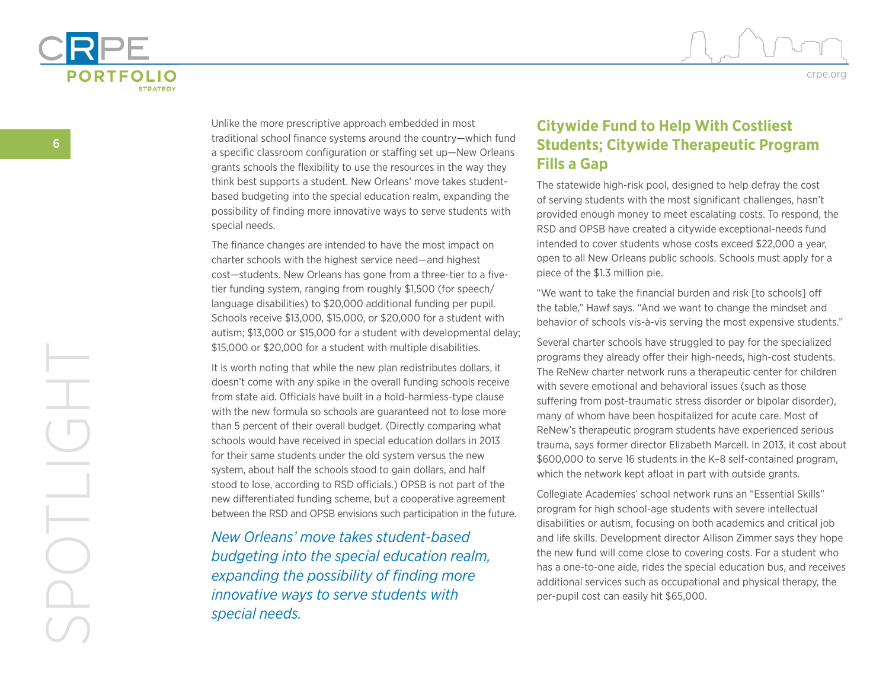



crpe.org

Unlike the more prescriptive approach embedded in most traditional school finance systems around the country—which fund a specific classroom configuration or staffing set up—New Orleans grants schools the flexibility to use the resources in the way they think best supports a student. New Orleans' move takes studentbased budgeting into the special education realm, expanding the possibility of finding more innovative ways to serve students with special needs.

The finance changes are intended to have the most impact on charter schools with the highest service need—and highest cost—students. New Orleans has gone from a three-tier to a fivetier funding system, ranging from roughly \$1,500 (for speech/ language disabilities) to \$20,000 additional funding per pupil. Schools receive \$13,000, \$15,000, or \$20,000 for a student with autism; \$13,000 or \$15,000 for a student with developmental delay; \$15,000 or \$20,000 for a student with multiple disabilities.

It is worth noting that while the new plan redistributes dollars, it doesn't come with any spike in the overall funding schools receive from state aid. Officials have built in a hold-harmless-type clause with the new formula so schools are guaranteed not to lose more than 5 percent of their overall budget. (Directly comparing what schools would have received in special education dollars in 2013 for their same students under the old system versus the new system, about half the schools stood to gain dollars, and half stood to lose, according to RSD officials.) OPSB is not part of the new differentiated funding scheme, but a cooperative agreement between the RSD and OPSB envisions such participation in the future.

*New Orleans' move takes student-based budgeting into the special education realm, expanding the possibility of finding more innovative ways to serve students with special needs.*

# **Citywide Fund to Help With Costliest Students; Citywide Therapeutic Program Fills a Gap**

The statewide high-risk pool, designed to help defray the cost of serving students with the most significant challenges, hasn't provided enough money to meet escalating costs. To respond, the RSD and OPSB have created a citywide exceptional-needs fund intended to cover students whose costs exceed \$22,000 a year, open to all New Orleans public schools. Schools must apply for a piece of the \$1.3 million pie.

"We want to take the financial burden and risk [to schools] off the table," Hawf says. "And we want to change the mindset and behavior of schools vis-à-vis serving the most expensive students."

Several charter schools have struggled to pay for the specialized programs they already offer their high-needs, high-cost students. The ReNew charter network runs a therapeutic center for children with severe emotional and behavioral issues (such as those suffering from post-traumatic stress disorder or bipolar disorder), many of whom have been hospitalized for acute care. Most of ReNew's therapeutic program students have experienced serious trauma, says former director Elizabeth Marcell. In 2013, it cost about \$600,000 to serve 16 students in the K–8 self-contained program, which the network kept afloat in part with outside grants.

Collegiate Academies' school network runs an "Essential Skills" program for high school-age students with severe intellectual disabilities or autism, focusing on both academics and critical job and life skills. Development director Allison Zimmer says they hope the new fund will come close to covering costs. For a student who has a one-to-one aide, rides the special education bus, and receives additional services such as occupational and physical therapy, the per-pupil cost can easily hit \$65,000.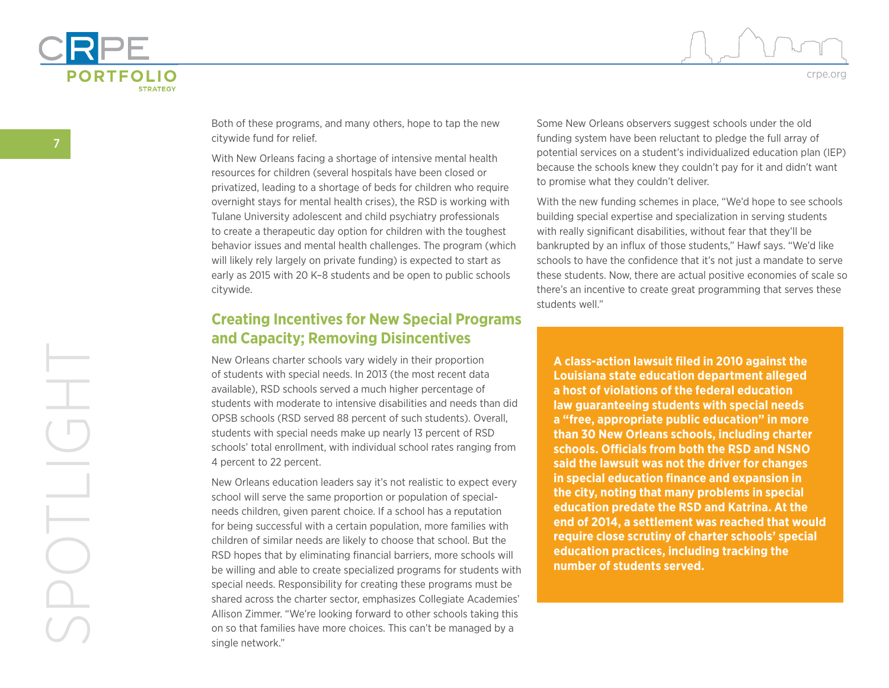



Both of these programs, and many others, hope to tap the new citywide fund for relief.

With New Orleans facing a shortage of intensive mental health resources for children (several hospitals have been closed or privatized, leading to a shortage of beds for children who require overnight stays for mental health crises), the RSD is working with Tulane University adolescent and child psychiatry professionals to create a therapeutic day option for children with the toughest behavior issues and mental health challenges. The program (which will likely rely largely on private funding) is expected to start as early as 2015 with 20 K–8 students and be open to public schools citywide.

### **Creating Incentives for New Special Programs and Capacity; Removing Disincentives**

New Orleans charter schools vary widely in their proportion of students with special needs. In 2013 (the most recent data available), RSD schools served a much higher percentage of students with moderate to intensive disabilities and needs than did OPSB schools (RSD served 88 percent of such students). Overall, students with special needs make up nearly 13 percent of RSD schools' total enrollment, with individual school rates ranging from 4 percent to 22 percent.

New Orleans education leaders say it's not realistic to expect every school will serve the same proportion or population of specialneeds children, given parent choice. If a school has a reputation for being successful with a certain population, more families with children of similar needs are likely to choose that school. But the RSD hopes that by eliminating financial barriers, more schools will be willing and able to create specialized programs for students with special needs. Responsibility for creating these programs must be shared across the charter sector, emphasizes Collegiate Academies' Allison Zimmer. "We're looking forward to other schools taking this on so that families have more choices. This can't be managed by a single network."

Some New Orleans observers suggest schools under the old funding system have been reluctant to pledge the full array of potential services on a student's individualized education plan (IEP) because the schools knew they couldn't pay for it and didn't want to promise what they couldn't deliver.

With the new funding schemes in place, "We'd hope to see schools building special expertise and specialization in serving students with really significant disabilities, without fear that they'll be bankrupted by an influx of those students," Hawf says. "We'd like schools to have the confidence that it's not just a mandate to serve these students. Now, there are actual positive economies of scale so there's an incentive to create great programming that serves these students well."

**A class-action lawsuit filed in 2010 against the Louisiana state education department alleged a host of violations of the federal education law guaranteeing students with special needs a "free, appropriate public education" in more than 30 New Orleans schools, including charter schools. Officials from both the RSD and NSNO said the lawsuit was not the driver for changes in special education finance and expansion in the city, noting that many problems in special education predate the RSD and Katrina. At the end of 2014, a settlement was reached that would require close scrutiny of charter schools' special education practices, including tracking the number of students served.**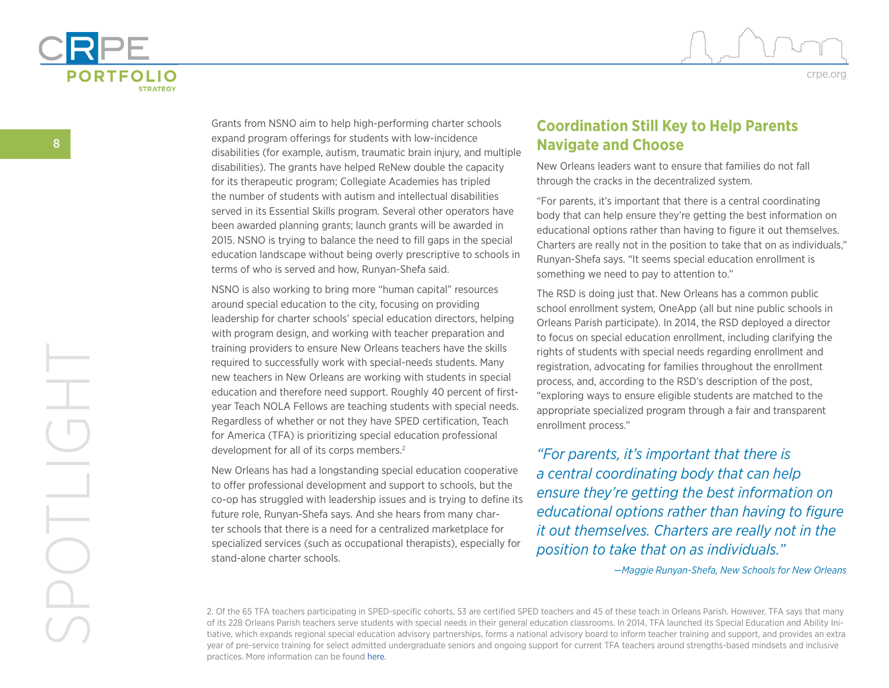



crpe.org

Grants from NSNO aim to help high-performing charter schools expand program offerings for students with low-incidence disabilities (for example, autism, traumatic brain injury, and multiple disabilities). The grants have helped ReNew double the capacity for its therapeutic program; Collegiate Academies has tripled the number of students with autism and intellectual disabilities served in its Essential Skills program. Several other operators have been awarded planning grants; launch grants will be awarded in 2015. NSNO is trying to balance the need to fill gaps in the special education landscape without being overly prescriptive to schools in terms of who is served and how, Runyan-Shefa said.

NSNO is also working to bring more "human capital" resources around special education to the city, focusing on providing leadership for charter schools' special education directors, helping with program design, and working with teacher preparation and training providers to ensure New Orleans teachers have the skills required to successfully work with special-needs students. Many new teachers in New Orleans are working with students in special education and therefore need support. Roughly 40 percent of firstyear Teach NOLA Fellows are teaching students with special needs. Regardless of whether or not they have SPED certification, Teach for America (TFA) is prioritizing special education professional development for all of its corps members.<sup>2</sup>

New Orleans has had a longstanding special education cooperative to offer professional development and support to schools, but the co-op has struggled with leadership issues and is trying to define its future role, Runyan-Shefa says. And she hears from many charter schools that there is a need for a centralized marketplace for specialized services (such as occupational therapists), especially for stand-alone charter schools.

### **Coordination Still Key to Help Parents Navigate and Choose**

New Orleans leaders want to ensure that families do not fall through the cracks in the decentralized system.

"For parents, it's important that there is a central coordinating body that can help ensure they're getting the best information on educational options rather than having to figure it out themselves. Charters are really not in the position to take that on as individuals," Runyan-Shefa says. "It seems special education enrollment is something we need to pay to attention to."

The RSD is doing just that. New Orleans has a common public school enrollment system, OneApp (all but nine public schools in Orleans Parish participate). In 2014, the RSD deployed a director to focus on special education enrollment, including clarifying the rights of students with special needs regarding enrollment and registration, advocating for families throughout the enrollment process, and, according to the RSD's description of the post, "exploring ways to ensure eligible students are matched to the appropriate specialized program through a fair and transparent enrollment process."

*"For parents, it's important that there is a central coordinating body that can help ensure they're getting the best information on educational options rather than having to figure it out themselves. Charters are really not in the position to take that on as individuals."*

*—Maggie Runyan-Shefa, New Schools for New Orleans*

2. Of the 65 TFA teachers participating in SPED-specific cohorts, 53 are certified SPED teachers and 45 of these teach in Orleans Parish. However, TFA says that many of its 228 Orleans Parish teachers serve students with special needs in their general education classrooms. In 2014, TFA launched its Special Education and Ability Initiative, which expands regional special education advisory partnerships, forms a national advisory board to inform teacher training and support, and provides an extra year of pre-service training for select admitted undergraduate seniors and ongoing support for current TFA teachers around strengths-based mindsets and inclusive practices. More information can be found [here.](https://www.teachforamerica.org/blog/holding-high-expectations-all-students)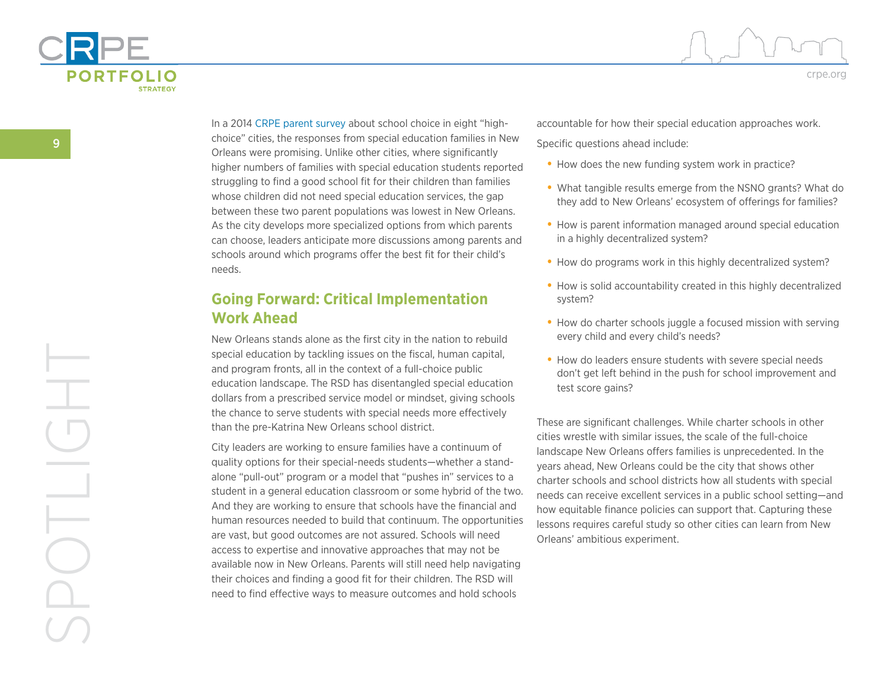



In a 2014 [CRPE parent survey](http://www.crpe.org/publications/how-parents-experience-public-school-choice) about school choice in eight "highchoice" cities, the responses from special education families in New Orleans were promising. Unlike other cities, where significantly higher numbers of families with special education students reported struggling to find a good school fit for their children than families whose children did not need special education services, the gap between these two parent populations was lowest in New Orleans. As the city develops more specialized options from which parents can choose, leaders anticipate more discussions among parents and schools around which programs offer the best fit for their child's needs.

### **Going Forward: Critical Implementation Work Ahead**

New Orleans stands alone as the first city in the nation to rebuild special education by tackling issues on the fiscal, human capital, and program fronts, all in the context of a full-choice public education landscape. The RSD has disentangled special education dollars from a prescribed service model or mindset, giving schools the chance to serve students with special needs more effectively than the pre-Katrina New Orleans school district.

City leaders are working to ensure families have a continuum of quality options for their special-needs students—whether a standalone "pull-out" program or a model that "pushes in" services to a student in a general education classroom or some hybrid of the two. And they are working to ensure that schools have the financial and human resources needed to build that continuum. The opportunities are vast, but good outcomes are not assured. Schools will need access to expertise and innovative approaches that may not be available now in New Orleans. Parents will still need help navigating their choices and finding a good fit for their children. The RSD will need to find effective ways to measure outcomes and hold schools

accountable for how their special education approaches work.

Specific questions ahead include:

- **•** How does the new funding system work in practice?
- **•** What tangible results emerge from the NSNO grants? What do they add to New Orleans' ecosystem of offerings for families?
- **•** How is parent information managed around special education in a highly decentralized system?
- **•** How do programs work in this highly decentralized system?
- **•** How is solid accountability created in this highly decentralized system?
- **•** How do charter schools juggle a focused mission with serving every child and every child's needs?
- **•** How do leaders ensure students with severe special needs don't get left behind in the push for school improvement and test score gains?

These are significant challenges. While charter schools in other cities wrestle with similar issues, the scale of the full-choice landscape New Orleans offers families is unprecedented. In the years ahead, New Orleans could be the city that shows other charter schools and school districts how all students with special needs can receive excellent services in a public school setting—and how equitable finance policies can support that. Capturing these lessons requires careful study so other cities can learn from New Orleans' ambitious experiment.